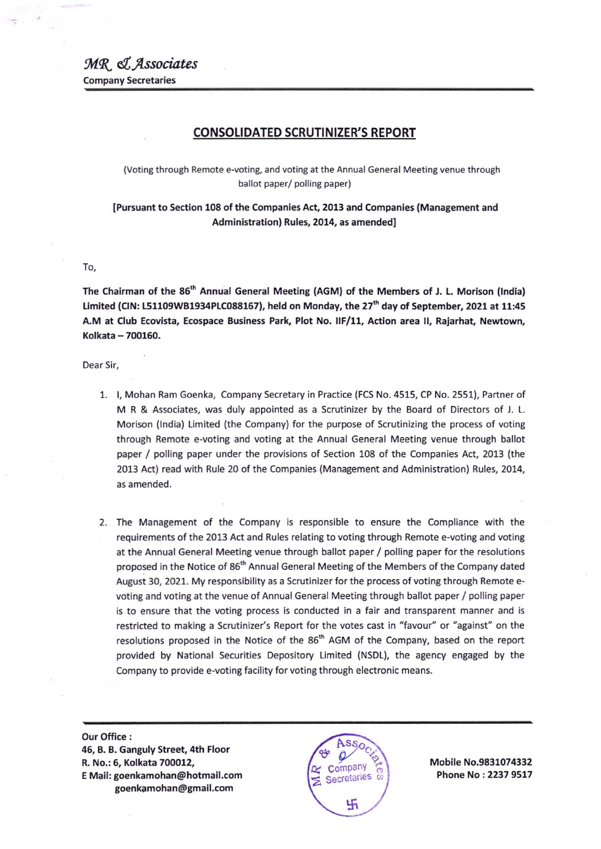## CONSOLIDATED SCRUTINIZER'S REPORT

(Voting through Remote e-voting, and voting at the Annual General Meeting venue through ballot paper/ polling paper)

IPursuant to Section 108 of the Companies Act, 2013 and Companies (Management and Administration) Rules, 2014, as amended]

## To,

The Chairman of the 86<sup>th</sup> Annual General Meeting (AGM) of the Members of J. L. Morison (India) Limited (CIN: L51109WB1934PLC088167), held on Monday, the 27<sup>th</sup> day of September, 2021 at 11:45 A.M at Club Ecovista, Ecospace Business Park, Plot No. IIF/11, Action area II, Rajarhat, Newtown, Kolkata - 700160.

Dear Sir,

- 1. l, Mohan Ram Goenka, Company Secretary in Practice (FCS No.4515, CP No. 2551), Partner of M R & Associates, was duly appointed as a Scrutinizer by the Board of Directors of J. L. Morison (lndia) Limited (the Company) for the purpose of Scrutinizing the process of voting through Remote e-voting and voting at the Annual General Meeting venue through ballot paper / polling paper under the provisions of Section 108 of the companies Act, 2013 (the 2013 Act) read with Rule 20 of the Companies (Management and Administration) Rules, 2014, as amended.
- 2. The Management of the Company is responsible to ensure the Compliance with the requirements of the 2013 Act and Rules relating to voting through Remote e-voting and voting at the Annual General Meeting venue through ballot paper / polling paper for the resolutions proposed in the Notice of 86<sup>th</sup> Annual General Meeting of the Members of the Company dated August 30, 2021. My responsibility as a Scrutinizer for the process of voting through Remote evoting and voting at the venue of Annual General Meeting through ballot paper / polling paper is to ensure that the voting process is conducted in a fair and transparent manner and is restricted to making a Scrutinizer's Report for the votes cast in "favour" or "against" on the resolutions proposed in the Notice of the 86<sup>th</sup> AGM of the Company, based on the report provided by National Securities Depository Limited (NSDL), the agency engaged by the Company to provide e-voting facility for voting through electronic means.

Our Office : 46, B. B. Ganguly Street, 4th Floor R, No.: 6, Kolkata 700012, <sup>E</sup>Mail: goenkamohan@hotmail.com goenkamohan@gmail.com



Mobile No.9831074332 Phone No : 2237 9517